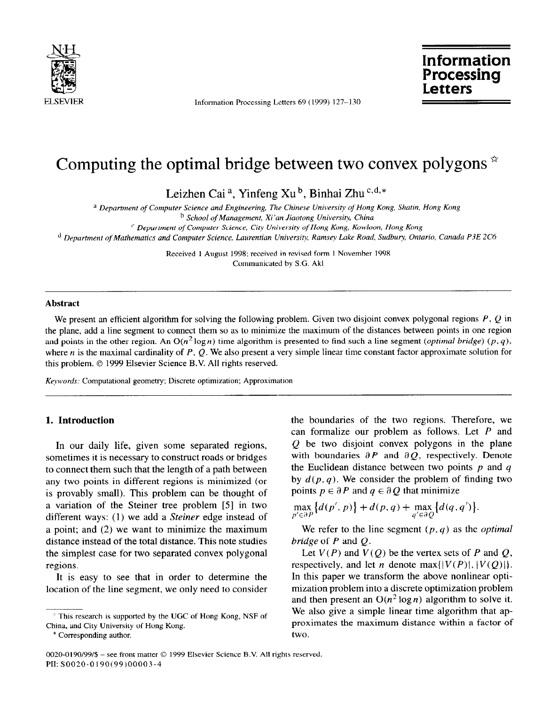

ELSEVIER Information Processing Letters 69 (1999) 127-130

**JSH Information Information**<br> **Information**<br> **Processing Letters** Processing<br>Letters

# Computing the optimal bridge between two convex polygons  $*$

Leizhen Cai<sup>a</sup>, Yinfeng Xu<sup>b</sup>, Binhai Zhu<sup>c,d,\*</sup>

' *Department of Computer Science and Engineering, The Chinese University of Hong Kong, Shatin, Hong Kong* 

<sup>b</sup> School of Management, Xi'an Jiaotong University, China

*' Depurtment of Computer Science, City Universiv of Hong Kong, Kowloon, Hong Kong* 

*' Department of Mathematics and Computer Science, Laurentian University Ramsey Lake Road, Sudbury Ontario, Canada PSE 205* 

Received 1 August 1998; received in revised form 1 November 1998 Communicated by S.G. Akl

#### **Abstract**

We present an efficient algorithm for solving the following problem. Given two disjoint convex polygonal regions  $P$ ,  $Q$  in the plane, add a line segment to connect them so as to minimize the maximum of the distances between points in one region and points in the other region. An  $O(n^2 \log n)$  time algorithm is presented to find such a line segment (*optimal bridge*) (p, q), where n is the maximal cardinality of P, Q. We also present a very simple linear time constant factor approximate solution for this problem.  $\odot$  1999 Elsevier Science B.V. All rights reserved.

*Kewords;* Computational geometry; Discrete optimization; Approximation

#### **1. Introduction**

In our daily life, given some separated regions, sometimes it is necessary to construct roads or bridges to connect them such that the length of a path between any two points in different regions is minimized (or is provably small). This problem can be thought of a variation of the Steiner tree problem [5] in two different ways: (1) we add a *Steiner* edge instead of a point; and (2) we want to minimize the maximum distance instead of the total distance. This note studies the simplest case for two separated convex polygonal regions.

It is easy to see that in order to determine the location of the line segment, we only need to consider

\* Corresponding author.

the boundaries of the two regions. Therefore, we can formalize our problem as follows. Let *P* and *Q* be two disjoint convex polygons in the plane with boundaries  $\partial P$  and  $\partial Q$ , respectively. Denote the Euclidean distance between two points *p* and q by  $d(p, q)$ . We consider the problem of finding two points  $p \in \partial P$  and  $q \in \partial Q$  that minimize

$$
\max_{p' \in \partial P} \{d(p', p)\} + d(p, q) + \max_{q' \in \partial Q} \{d(q, q')\}.
$$

We refer to the line segment *(p, q)* as the *optimal bridge* of *P* and Q.

Let  $V(P)$  and  $V(Q)$  be the vertex sets of *P* and *Q*, respectively, and let *n* denote max $\{ |V(P)|, |V(Q)| \}.$ In this paper we transform the above nonlinear optimization problem into a discrete optimization problem and then present an  $O(n^2 \log n)$  algorithm to solve it. We also give a simple linear time algorithm that approximates the maximum distance within a factor of two.

<sup>&</sup>lt;sup>2</sup> This research is supported by the UGC of Hong Kong, NSF of China, and City University of Hong Kong.

<sup>0020-0190/99/\$ -</sup> see front matter © 1999 Elsevier Science B.V. All rights reserved. PII: SOO20-0190(99)00003-4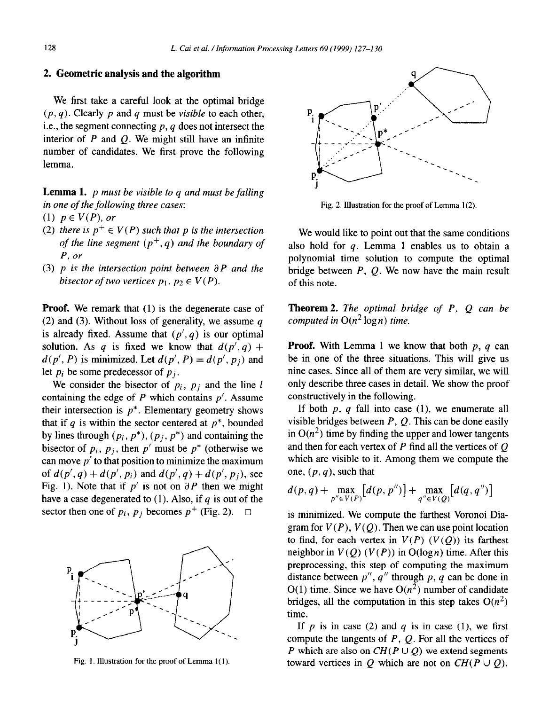### 2. **Geometric analysis and the algorithm**

We first take a careful look at the optimal bridge  $(p, q)$ . Clearly p and q must be *visible* to each other, i.e., the segment connecting p, *q* does not intersect the interior of  $P$  and  $Q$ . We might still have an infinite number of candidates. We first prove the following lemma.

**Lemma 1.** *p must be visible to q and must be falling in one of the following three cases:* 

*(1) p E V(P), or* 

- (2) there is  $p^+ \in V(P)$  such that p is the intersection *of the line segment*  $(p^+, q)$  *and the boundary of P, or*
- $(3)$  p is the intersection point between  $\partial P$  and the *bisector of two vertices*  $p_1, p_2 \in V(P)$ .

**Proof.** We remark that (1) is the degenerate case of (2) and (3). Without loss of generality, we assume *q*  is already fixed. Assume that  $(p', q)$  is our optimal solution. As *q* is fixed we know that  $d(p', q)$  +  $d(p', P)$  is minimized. Let  $d(p', P) = d(p', p_i)$  and let  $p_i$  be some predecessor of  $p_j$ .

We consider the bisector of  $p_i$ ,  $p_j$  and the line *l* containing the edge of *P* which contains *p'.* Assume their intersection is  $p^*$ . Elementary geometry shows that if  $q$  is within the sector centered at  $p^*$ , bounded by lines through  $(p_i, p^*)$ ,  $(p_i, p^*)$  and containing the bisector of  $p_i$ ,  $p_j$ , then  $p'$  must be  $p^*$  (otherwise we can move  $p'$  to that position to minimize the maximum of  $d(p', q) + d(p', p_i)$  and  $d(p', q) + d(p', p_i)$ , see Fig. 1). Note that if  $p'$  is not on  $\partial P$  then we might have a case degenerated to (1). Also, if *q* is out of the sector then one of  $p_i$ ,  $p_j$  becomes  $p^+$  (Fig. 2).  $\Box$ 



Fig. 1. Illustration for the proof of Lemma l(1).



Fig. *2.* Illustration for the proof of Lemma l(2).

We would like to point out that the same conditions also hold for *q.* Lemma 1 enables us to obtain a polynomial time solution to compute the optimal bridge between *P, Q.* We now have the main result of this note.

**Theorem 2.** *The optimal bridge of P, Q can be computed in*  $O(n^2 \log n)$  *time.* 

**Proof.** With Lemma 1 we know that both *p, q* can be in one of the three situations. This will give us nine cases. Since all of them are very similar, we will only describe three cases in detail. We show the proof constructively in the following.

If both  $p$ ,  $q$  fall into case  $(1)$ , we enumerate all visible bridges between *P, Q.* This can be done easily in  $O(n^2)$  time by finding the upper and lower tangents and then for each vertex of *P* find all the vertices of Q which are visible to it. Among them we compute the one, *(p, q),* such that

$$
d(p,q) + \max_{p'' \in V(P)}[d(p,p'')] + \max_{q'' \in V(Q)}[d(q,q'')]
$$

is minimized. We compute the farthest Voronoi Diagram for  $V(P)$ ,  $V(Q)$ . Then we can use point location to find, for each vertex in  $V(P)$  ( $V(Q)$ ) its farthest neighbor in  $V(Q)$  ( $V(P)$ ) in O(log *n*) time. After this preprocessing, this step of computing the maximum distance between *p", q"* through *p, q* can be done in  $O(1)$  time. Since we have  $O(n^2)$  number of candidate bridges, all the computation in this step takes  $O(n^2)$ time.

If  $p$  is in case (2) and  $q$  is in case (1), we first compute the tangents of *P, Q.* For all the vertices of *P* which are also on  $CH(P \cup Q)$  we extend segments toward vertices in Q which are not on  $CH(P \cup Q)$ .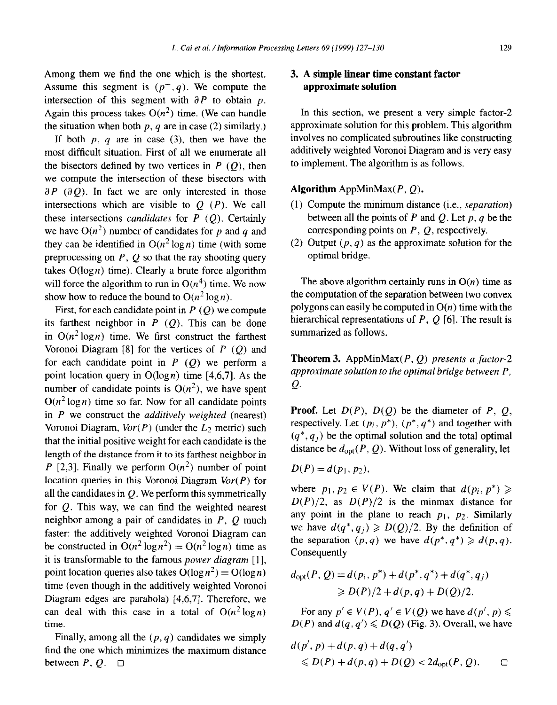Among them we find the one which is the shortest. Assume this segment is  $(p^+, q)$ . We compute the intersection of this segment with  $\partial P$  to obtain p. Again this process takes  $O(n^2)$  time. (We can handle the situation when both  $p$ ,  $q$  are in case (2) similarly.)

If both  $p, q$  are in case (3), then we have the most difficult situation. First of all we enumerate all the bisectors defined by two vertices in  $P(Q)$ , then we compute the intersection of these bisectors with  $\partial P$  ( $\partial Q$ ). In fact we are only interested in those intersections which are visible to  $Q(P)$ . We call these intersections *candidates* for  $P(Q)$ . Certainly we have  $O(n^2)$  number of candidates for p and q and they can be identified in  $O(n^2 \log n)$  time (with some preprocessing on *P, Q so* that the ray shooting query takes  $O(log n)$  time). Clearly a brute force algorithm will force the algorithm to run in  $O(n^4)$  time. We now show how to reduce the bound to  $O(n^2 \log n)$ .

First, for each candidate point in *P (Q) we* compute its farthest neighbor in  $\overline{P}(Q)$ . This can be done in  $O(n^2 \log n)$  time. We first construct the farthest Voronoi Diagram [8] for the vertices of *P (Q)* and for each candidate point in  $P(Q)$  we perform a point location query in  $O(log n)$  time [4,6,7]. As the number of candidate points is  $O(n^2)$ , we have spent  $O(n^2 \log n)$  time so far. Now for all candidate points in *P we* construct the *additively weighted* (nearest) Voronoi Diagram,  $Vor(P)$  (under the  $L_2$  metric) such that the initial positive weight for each candidate is the length of the distance from it to its farthest neighbor in *P* [2,3]. Finally we perform  $O(n^2)$  number of point location queries in this Voronoi Diagram *Vor(P)* for all the candidates in  $Q$ . We perform this symmetrically for  $Q$ . This way, we can find the weighted nearest neighbor among a pair of candidates in *P, Q* much faster: the additively weighted Voronoi Diagram can be constructed in  $O(n^2 \log n^2) = O(n^2 \log n)$  time as it is transformable to the famous *power diagram* [ 11, point location queries also takes  $O(\log n^2) = O(\log n)$ time (even though in the additively weighted Voronoi Diagram edges are parabola) [4,6,7]. Therefore, we can deal with this case in a total of  $O(n^2 \log n)$ time.

Finally, among all the  $(p, q)$  candidates we simply find the one which minimizes the maximum distance between  $P, Q, \Box$ 

# 3. **A simple linear time constant factor approximate solution**

In this section, we present a very simple factor-2 approximate solution for this problem. This algorithm involves no complicated subroutines like constructing additively weighted Voronoi Diagram and is very easy to implement. The algorithm is as follows.

**Algorithm** AppMinMax( *P, Q).* 

- (1) Compute the minimum distance (i.e., *separation)*  between all the points of  $P$  and  $Q$ . Let  $p, q$  be the corresponding points on *P, Q,* respectively.
- (2) Output  $(p, q)$  as the approximate solution for the optimal bridge.

The above algorithm certainly runs in  $O(n)$  time as the computation of the separation between two convex polygons can easily be computed in  $O(n)$  time with the hierarchical representations of *P, Q* **[6].** The result is summarized as follows.

**Theorem 3.** AppMinMax( *P, Q) presents a factor-2 approximate solution to the optimal bridge between P,*   $Q$ .

**Proof.** Let  $D(P)$ ,  $D(Q)$  be the diameter of P, Q, respectively. Let  $(p_i, p^*)$ ,  $(p^*, q^*)$  and together with  $(q^*, q_i)$  be the optimal solution and the total optimal distance be  $d_{\text{opt}}(P, Q)$ . Without loss of generality, let

$$
D(P)=d(p_1,p_2)
$$

where  $p_1, p_2 \in V(P)$ . We claim that  $d(p_i, p^*) \geq$  $D(P)/2$ , as  $D(P)/2$  is the minmax distance for any point in the plane to reach  $p_1$ ,  $p_2$ . Similarly we have  $d(q^*, q_i) \ge D(Q)/2$ . By the definition of the separation  $(p, q)$  we have  $d(p^*, q^*) \geq d(p, q)$ . **Consequently** 

$$
d_{\text{opt}}(P, Q) = d(p_i, p^*) + d(p^*, q^*) + d(q^*, q_j)
$$
  
\n
$$
\ge D(P)/2 + d(p, q) + D(Q)/2.
$$

For any  $p' \in V(P)$ ,  $q' \in V(Q)$  we have  $d(p', p) \leq$  $D(P)$  and  $d(q, q') \leq D(Q)$  (Fig. 3). Overall, we have

$$
d(p', p) + d(p, q) + d(q, q')
$$
  
\$\le D(P) + d(p, q) + D(Q) < 2d\_{\text{opt}}(P, Q). \square\$